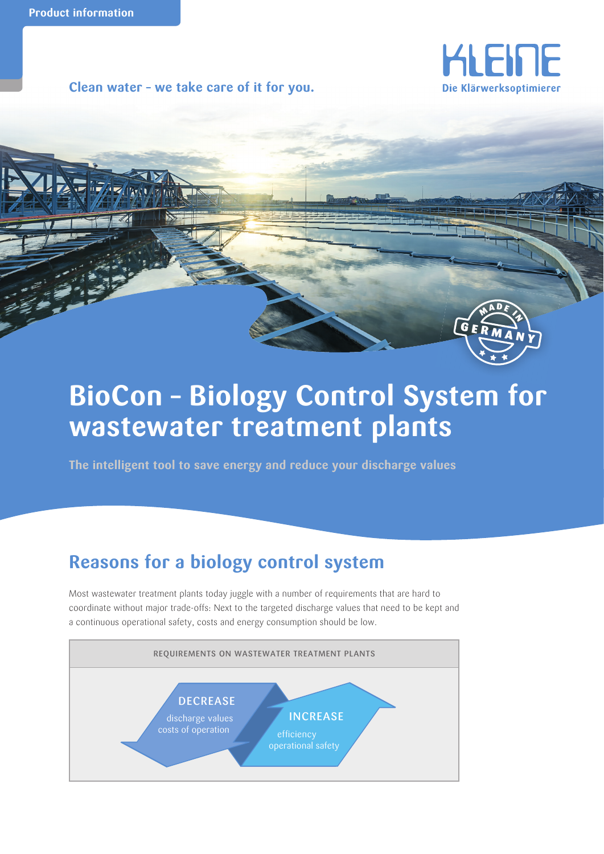**Clean water – we take care of it for you.**





# **BioCon – Biology Control System for wastewater treatment plants**

**The intelligent tool to save energy and reduce your discharge values**

## **Reasons for a biology control system**

Most wastewater treatment plants today juggle with a number of requirements that are hard to coordinate without major trade-offs: Next to the targeted discharge values that need to be kept and a continuous operational safety, costs and energy consumption should be low.